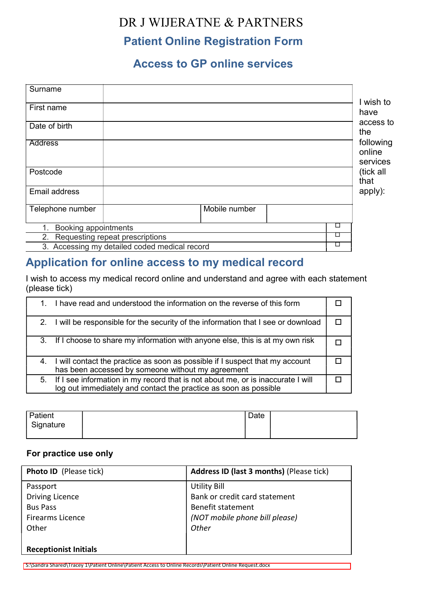# DR J WIJERATNE & PARTNERS

## Patient Online Registration Form

## Access to GP online services

| Surname                                       |               |   |                                 |
|-----------------------------------------------|---------------|---|---------------------------------|
|                                               |               |   | wish to                         |
| First name                                    |               |   | have                            |
| Date of birth                                 |               |   | access to<br>the                |
| <b>Address</b>                                |               |   | following<br>online<br>services |
| Postcode                                      |               |   | (tick all<br>that               |
| Email address                                 |               |   | apply):                         |
| Telephone number                              | Mobile number |   |                                 |
| Booking appointments                          |               | ⊔ |                                 |
| 2. Requesting repeat prescriptions            | ⊔             |   |                                 |
| 3. Accessing my detailed coded medical record | ⊔             |   |                                 |

## Application for online access to my medical record

I wish to access my medical record online and understand and agree with each statement (please tick)

|  | 1. I have read and understood the information on the reverse of this form                                                                              |  |
|--|--------------------------------------------------------------------------------------------------------------------------------------------------------|--|
|  | 2. I will be responsible for the security of the information that I see or download                                                                    |  |
|  | 3. If I choose to share my information with anyone else, this is at my own risk                                                                        |  |
|  | 4. I will contact the practice as soon as possible if I suspect that my account<br>has been accessed by someone without my agreement                   |  |
|  | 5. If I see information in my record that is not about me, or is inaccurate I will<br>log out immediately and contact the practice as soon as possible |  |

| Patient          | ∩∩ר<br>Dale |  |
|------------------|-------------|--|
| Signature<br>- ס |             |  |
|                  |             |  |

### For practice use only

| <b>Photo ID</b> (Please tick) | <b>Address ID (last 3 months) (Please tick)</b> |
|-------------------------------|-------------------------------------------------|
| Passport                      | <b>Utility Bill</b>                             |
| <b>Driving Licence</b>        | Bank or credit card statement                   |
| <b>Bus Pass</b>               | <b>Benefit statement</b>                        |
| <b>Firearms Licence</b>       | (NOT mobile phone bill please)                  |
| Other                         | Other                                           |
|                               |                                                 |
| <b>Receptionist Initials</b>  |                                                 |
|                               |                                                 |

S:\Sandra Shared\Tracey 1\Patient Online\Patient Access to Online Records\Patient Online Request.docx